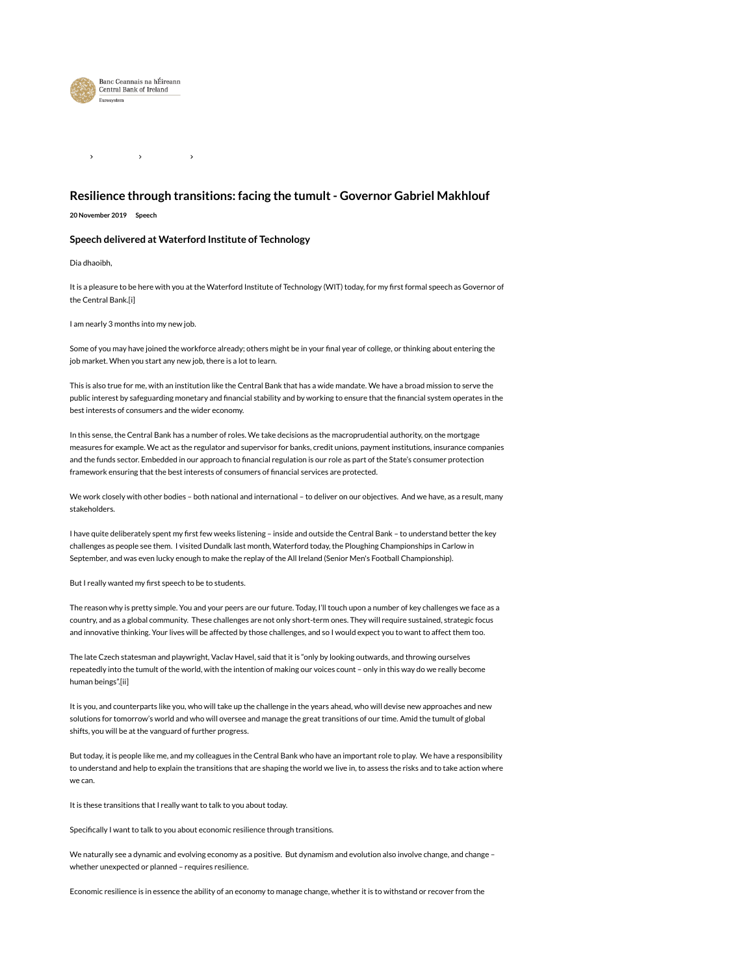

 $\rightarrow$  $\rightarrow$ 

# Resilience through transitions: facing the tumult - Governor Gabriel Makhlouf

20 November 2019 Speech

# Speech delivered at Waterford Institute of Technology

Dia dhaoibh,

It is a pleasure to be here with you at the Waterford Institute of Technology (WIT) today, for my first formal speech as Governor of the Central Bank.[i]

I am nearly 3 months into my new job.

Some of you may have joined the workforce already; others might be in your final year of college, or thinking about entering the job market. When you start any new job, there is a lot to learn.

This is also true for me, with an institution like the Central Bank that has a wide mandate. We have a broad mission to serve the public interest by safeguarding monetary and financial stability and by working to ensure that the financial system operates in the best interests of consumers and the wider economy.

In this sense, the Central Bank has a number of roles. We take decisions as the macroprudential authority, on the mortgage measures for example. We act as the regulator and supervisor for banks, credit unions, payment institutions, insurance companies and the funds sector. Embedded in our approach to financial regulation is our role as part of the State's consumer protection framework ensuring that the best interests of consumers of financial services are protected.

We work closely with other bodies – both national and international – to deliver on our objectives. And we have, as a result, many stakeholders.

I have quite deliberately spent my first few weeks listening – inside and outside the Central Bank – to understand better the key challenges as people see them. I visited Dundalk last month, Waterford today, the Ploughing Championships in Carlow in September, and was even lucky enough to make the replay of the All Ireland (Senior Men's Football Championship).

But I really wanted my first speech to be to students.

The reason why is pretty simple. You and your peers are our future. Today, I'll touch upon a number of key challenges we face as a country, and as a global community. These challenges are not only short-term ones. They will require sustained, strategic focus and innovative thinking. Your lives will be affected by those challenges, and so I would expect you to want to affect them too.

The late Czech statesman and playwright, Vaclav Havel, said that it is "only by looking outwards, and throwing ourselves repeatedly into the tumult of the world, with the intention of making our voices count – only in this way do we really become human beings".[ii]

It is you, and counterparts like you, who will take up the challenge in the years ahead, who will devise new approaches and new solutions for tomorrow's world and who will oversee and manage the great transitions of our time. Amid the tumult of global shifts, you will be at the vanguard of further progress.

But today, it is people like me, and my colleagues in the Central Bank who have an important role to play. We have a responsibility to understand and help to explain the transitions that are shaping the world we live in, to assess the risks and to take action where we can.

It is these transitions that I really want to talk to you about today.

Specifically I want to talk to you about economic resilience through transitions.

We naturally see a dynamic and evolving economy as a positive. But dynamism and evolution also involve change, and change whether unexpected or planned – requires resilience.

Economic resilience is in essence the ability of an economy to manage change, whether it is to withstand or recover from the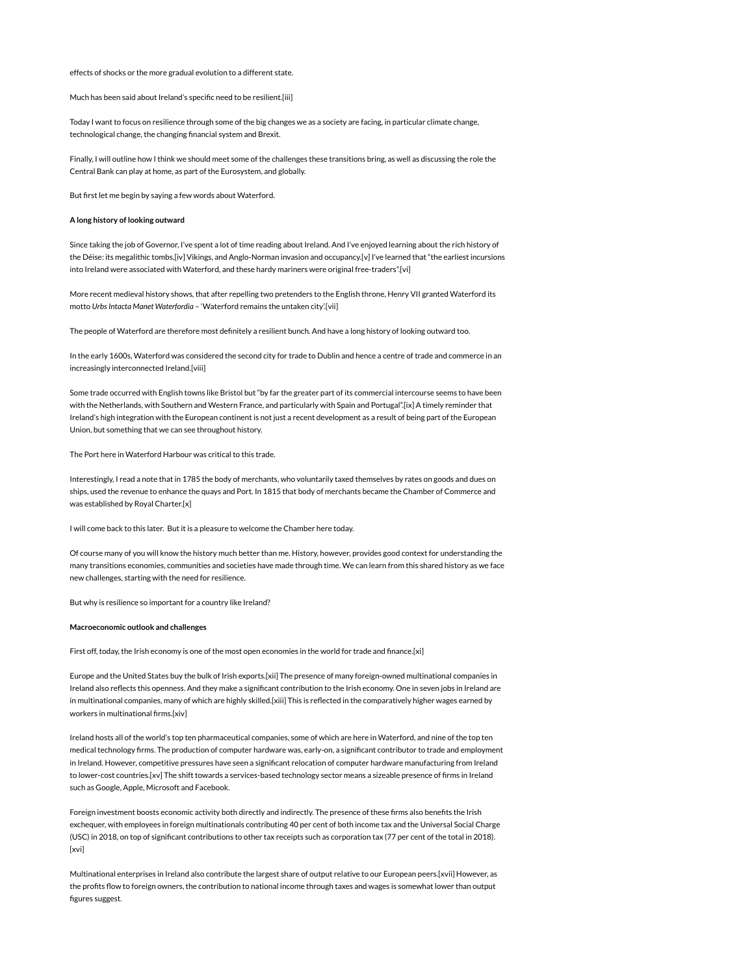effects of shocks or the more gradual evolution to a different state.

Much has been said about Ireland's specific need to be resilient.[iii]

Today I want to focus on resilience through some of the big changes we as a society are facing, in particular climate change, technological change, the changing financial system and Brexit.

Finally, I will outline how I think we should meet some of the challenges these transitions bring, as well as discussing the role the Central Bank can play at home, as part of the Eurosystem, and globally.

But first let me begin by saying a few words about Waterford.

#### A long history of looking outward

Since taking the job of Governor, I've spent a lot of time reading about Ireland. And I've enjoyed learning about the rich history of the Déise: its megalithic tombs,[iv] Vikings, and Anglo-Norman invasion and occupancy.[v] I've learned that "the earliest incursions into Ireland were associated with Waterford, and these hardy mariners were original free-traders".[vi]

More recent medieval history shows, that after repelling two pretenders to the English throne, Henry VII granted Waterford its motto Urbs Intacta Manet Waterfordia – 'Waterford remains the untaken city'.[vii]

The people of Waterford are therefore most definitely a resilient bunch. And have a long history of looking outward too.

In the early 1600s, Waterford was considered the second city for trade to Dublin and hence a centre of trade and commerce in an increasingly interconnected Ireland.[viii]

Some trade occurred with English towns like Bristol but "by far the greater part of its commercial intercourse seems to have been with the Netherlands, with Southern and Western France, and particularly with Spain and Portugal".[ix] A timely reminder that Ireland's high integration with the European continent is not just a recent development as a result of being part of the European Union, but something that we can see throughout history.

The Port here in Waterford Harbour was critical to this trade.

Interestingly, I read a note that in 1785 the body of merchants, who voluntarily taxed themselves by rates on goods and dues on ships, used the revenue to enhance the quays and Port. In 1815 that body of merchants became the Chamber of Commerce and was established by Royal Charter.[x]

I will come back to this later. But it is a pleasure to welcome the Chamber here today.

Of course many of you will know the history much better than me. History, however, provides good context for understanding the many transitions economies, communities and societies have made through time. We can learn from this shared history as we face new challenges, starting with the need for resilience.

But why is resilience so important for a country like Ireland?

# Macroeconomic outlook and challenges

First off, today, the Irish economy is one of the most open economies in the world for trade and finance.[xi]

Europe and the United States buy the bulk of Irish exports.[xii] The presence of many foreign-owned multinational companies in Ireland also reflects this openness. And they make a significant contribution to the Irish economy. One in seven jobs in Ireland are in multinational companies, many of which are highly skilled.[xiii] This is reflected in the comparatively higher wages earned by workers in multinational firms.[xiv]

Ireland hosts all of the world's top ten pharmaceutical companies, some of which are here in Waterford, and nine of the top ten medical technology firms. The production of computer hardware was, early-on, a significant contributor to trade and employment in Ireland. However, competitive pressures have seen a significant relocation of computer hardware manufacturing from Ireland to lower-cost countries.[xv] The shift towards a services-based technology sector means a sizeable presence of firms in Ireland such as Google, Apple, Microsoft and Facebook.

Foreign investment boosts economic activity both directly and indirectly. The presence of these firms also benefits the Irish exchequer, with employees in foreign multinationals contributing 40 per cent of both income tax and the Universal Social Charge (USC) in 2018, on top of significant contributions to other tax receipts such as corporation tax (77 per cent of the total in 2018). [xvi]

Multinational enterprises in Ireland also contribute the largest share of output relative to our European peers.[xvii] However, as the profits flow to foreign owners, the contribution to national income through taxes and wages is somewhat lower than output figures suggest.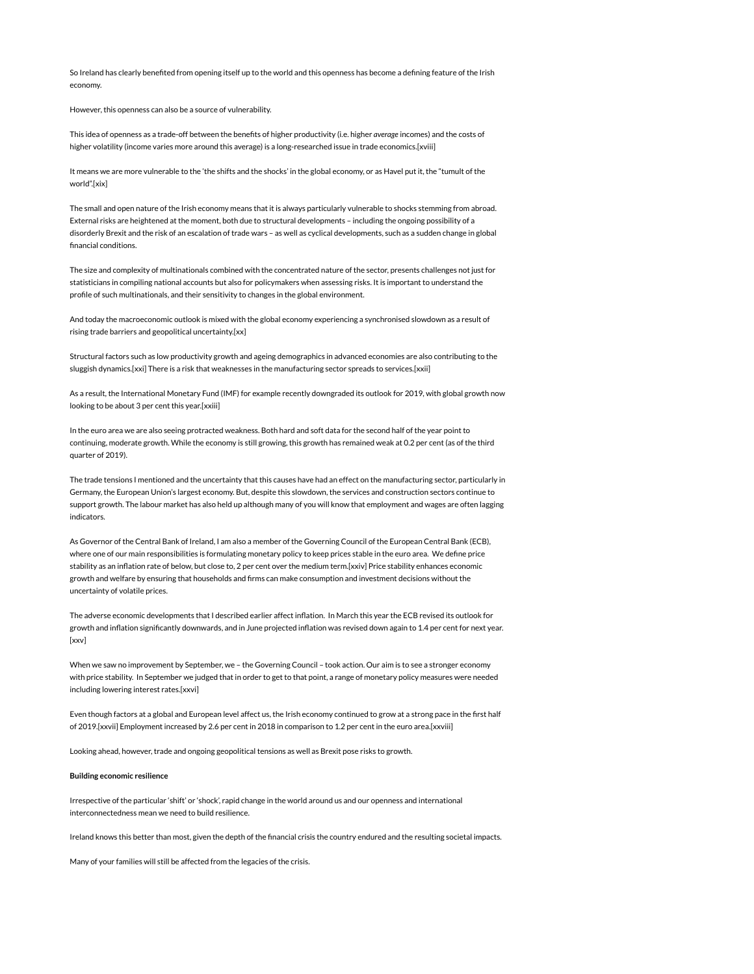So Ireland has clearly benefited from opening itself up to the world and this openness has become a defining feature of the Irish economy.

However, this openness can also be a source of vulnerability.

This idea of openness as a trade-off between the benefits of higher productivity (i.e. higher average incomes) and the costs of higher volatility (income varies more around this average) is a long-researched issue in trade economics.[xviii]

It means we are more vulnerable to the 'the shifts and the shocks' in the global economy, or as Havel put it, the "tumult of the world".[xix]

The small and open nature of the Irish economy means that it is always particularly vulnerable to shocks stemming from abroad. External risks are heightened at the moment, both due to structural developments – including the ongoing possibility of a disorderly Brexit and the risk of an escalation of trade wars – as well as cyclical developments, such as a sudden change in global financial conditions.

The size and complexity of multinationals combined with the concentrated nature of the sector, presents challenges not just for statisticians in compiling national accounts but also for policymakers when assessing risks. It is important to understand the profile of such multinationals, and their sensitivity to changes in the global environment.

And today the macroeconomic outlook is mixed with the global economy experiencing a synchronised slowdown as a result of rising trade barriers and geopolitical uncertainty.[xx]

Structural factors such as low productivity growth and ageing demographics in advanced economies are also contributing to the sluggish dynamics.[xxi] There is a risk that weaknesses in the manufacturing sector spreads to services.[xxii]

As a result, the International Monetary Fund (IMF) for example recently downgraded its outlook for 2019, with global growth now looking to be about 3 per cent this year.[xxiii]

In the euro area we are also seeing protracted weakness. Both hard and soft data for the second half of the year point to continuing, moderate growth. While the economy is still growing, this growth has remained weak at 0.2 per cent (as of the third quarter of 2019).

The trade tensions I mentioned and the uncertainty that this causes have had an effect on the manufacturing sector, particularly in Germany, the European Union's largest economy. But, despite this slowdown, the services and construction sectors continue to support growth. The labour market has also held up although many of you will know that employment and wages are often lagging indicators.

As Governor of the Central Bank of Ireland, I am also a member of the Governing Council of the European Central Bank (ECB), where one of our main responsibilities is formulating monetary policy to keep prices stable in the euro area. We define price stability as an inflation rate of below, but close to, 2 per cent over the medium term.[xxiv] Price stability enhances economic growth and welfare by ensuring that households and firms can make consumption and investment decisions without the uncertainty of volatile prices.

The adverse economic developments that I described earlier affect inflation. In March this year the ECB revised its outlook for growth and inflation significantly downwards, and in June projected inflation was revised down again to 1.4 per cent for next year. [xxv]

When we saw no improvement by September, we – the Governing Council – took action. Our aim is to see a stronger economy with price stability. In September we judged that in order to get to that point, a range of monetary policy measures were needed including lowering interest rates.[xxvi]

Even though factors at a global and European level affect us, the Irish economy continued to grow at a strong pace in the first half of 2019.[xxvii] Employment increased by 2.6 per cent in 2018 in comparison to 1.2 per cent in the euro area.[xxviii]

Looking ahead, however, trade and ongoing geopolitical tensions as well as Brexit pose risks to growth.

#### Building economic resilience

Irrespective of the particular 'shift' or 'shock', rapid change in the world around us and our openness and international interconnectedness mean we need to build resilience.

Ireland knows this better than most, given the depth of the financial crisis the country endured and the resulting societal impacts.

Many of your families will still be affected from the legacies of the crisis.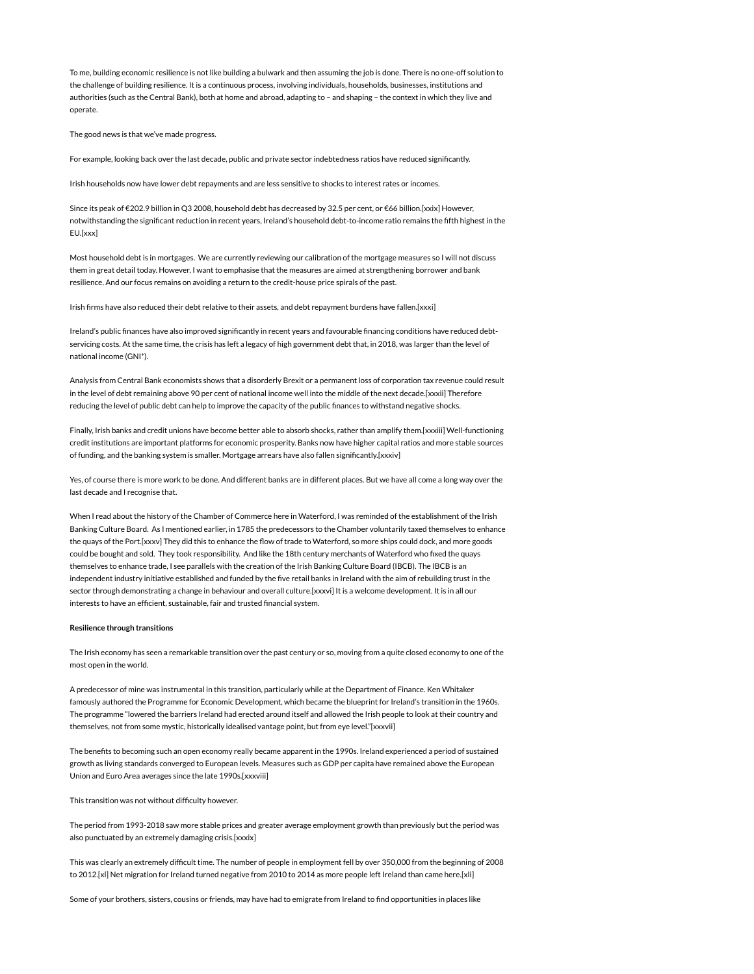To me, building economic resilience is not like building a bulwark and then assuming the job is done. There is no one-off solution to the challenge of building resilience. It is a continuous process, involving individuals, households, businesses, institutions and authorities (such as the Central Bank), both at home and abroad, adapting to – and shaping – the context in which they live and operate.

The good news is that we've made progress.

For example, looking back over the last decade, public and private sector indebtedness ratios have reduced significantly.

Irish households now have lower debt repayments and are less sensitive to shocks to interest rates or incomes.

Since its peak of €202.9 billion in Q3 2008, household debt has decreased by 32.5 per cent, or €66 billion.[xxix] However, notwithstanding the significant reduction in recent years, Ireland's household debt-to-income ratio remains the fifth highest in the EU.[xxx]

Most household debt is in mortgages. We are currently reviewing our calibration of the mortgage measures so I will not discuss them in great detail today. However, I want to emphasise that the measures are aimed at strengthening borrower and bank resilience. And our focus remains on avoiding a return to the credit-house price spirals of the past.

Irish firms have also reduced their debt relative to their assets, and debt repayment burdens have fallen.[xxxi]

Ireland's public finances have also improved significantly in recent years and favourable financing conditions have reduced debtservicing costs. At the same time, the crisis has left a legacy of high government debt that, in 2018, was larger than the level of national income (GNI\*).

Analysis from Central Bank economists shows that a disorderly Brexit or a permanent loss of corporation tax revenue could result in the level of debt remaining above 90 per cent of national income well into the middle of the next decade.[xxxii] Therefore reducing the level of public debt can help to improve the capacity of the public finances to withstand negative shocks.

Finally, Irish banks and credit unions have become better able to absorb shocks, rather than amplify them.[xxxiii] Well-functioning credit institutions are important platforms for economic prosperity. Banks now have higher capital ratios and more stable sources of funding, and the banking system is smaller. Mortgage arrears have also fallen significantly.[xxxiv]

Yes, of course there is more work to be done. And different banks are in different places. But we have all come a long way over the last decade and I recognise that.

When I read about the history of the Chamber of Commerce here in Waterford, I was reminded of the establishment of the Irish Banking Culture Board. As I mentioned earlier, in 1785 the predecessors to the Chamber voluntarily taxed themselves to enhance the quays of the Port.[xxxv] They did this to enhance the flow of trade to Waterford, so more ships could dock, and more goods could be bought and sold. They took responsibility. And like the 18th century merchants of Waterford who fixed the quays themselves to enhance trade, I see parallels with the creation of the Irish Banking Culture Board (IBCB). The IBCB is an independent industry initiative established and funded by the five retail banks in Ireland with the aim of rebuilding trust in the sector through demonstrating a change in behaviour and overall culture.[xxxvi] It is a welcome development. It is in all our interests to have an efficient, sustainable, fair and trusted financial system.

#### Resilience through transitions

The Irish economy has seen a remarkable transition over the past century or so, moving from a quite closed economy to one of the most open in the world.

A predecessor of mine was instrumental in this transition, particularly while at the Department of Finance. Ken Whitaker famously authored the Programme for Economic Development, which became the blueprint for Ireland's transition in the 1960s. The programme "lowered the barriers Ireland had erected around itself and allowed the Irish people to look at their country and themselves, not from some mystic, historically idealised vantage point, but from eye level."[xxxvii]

The benefits to becoming such an open economy really became apparent in the 1990s. Ireland experienced a period of sustained growth as living standards converged to European levels. Measures such as GDP per capita have remained above the European Union and Euro Area averages since the late 1990s.[xxxviii]

This transition was not without difficulty however.

The period from 1993-2018 saw more stable prices and greater average employment growth than previously but the period was also punctuated by an extremely damaging crisis.[xxxix]

This was clearly an extremely difficult time. The number of people in employment fell by over 350,000 from the beginning of 2008 to 2012.[xl] Net migration for Ireland turned negative from 2010 to 2014 as more people left Ireland than came here.[xli]

Some of your brothers, sisters, cousins or friends, may have had to emigrate from Ireland to find opportunities in places like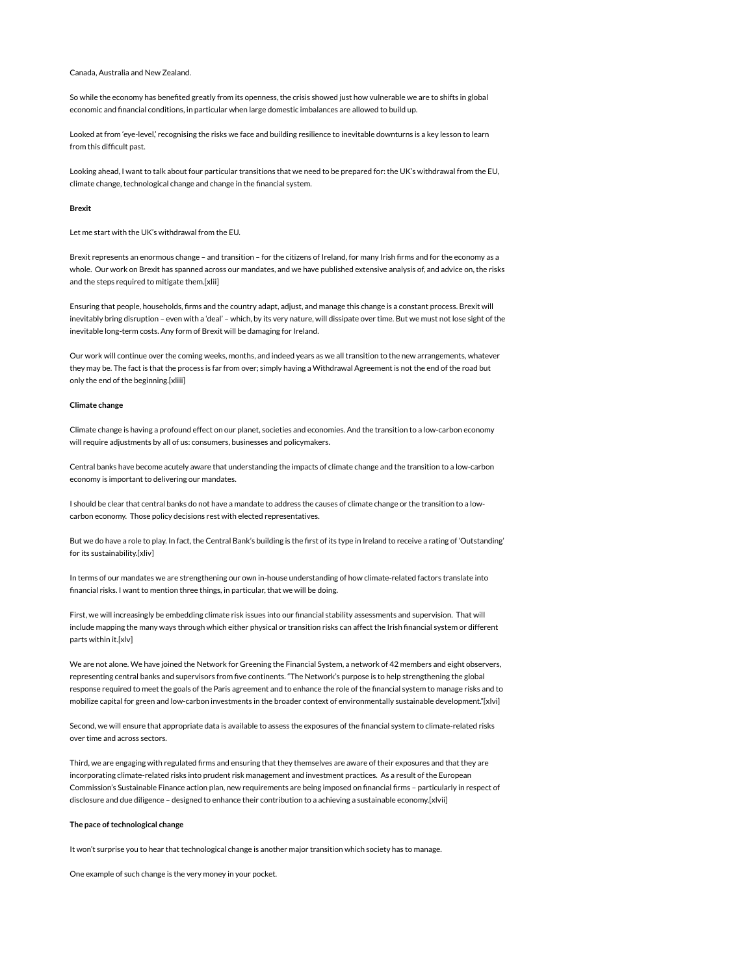# Canada, Australia and New Zealand.

So while the economy has benefited greatly from its openness, the crisis showed just how vulnerable we are to shifts in global economic and financial conditions, in particular when large domestic imbalances are allowed to build up.

Looked at from 'eye-level,' recognising the risks we face and building resilience to inevitable downturns is a key lesson to learn from this difficult past.

Looking ahead, I want to talk about four particular transitions that we need to be prepared for: the UK's withdrawal from the EU, climate change, technological change and change in the financial system.

#### Brexit

Let me start with the UK's withdrawal from the EU.

Brexit represents an enormous change – and transition – for the citizens of Ireland, for many Irish firms and for the economy as a whole. Our work on Brexit has spanned across our mandates, and we have published extensive analysis of, and advice on, the risks and the steps required to mitigate them.[xlii]

Ensuring that people, households, firms and the country adapt, adjust, and manage this change is a constant process. Brexit will inevitably bring disruption – even with a 'deal' – which, by its very nature, will dissipate over time. But we must not lose sight of the inevitable long-term costs. Any form of Brexit will be damaging for Ireland.

Our work will continue over the coming weeks, months, and indeed years as we all transition to the new arrangements, whatever they may be. The fact is that the process is far from over; simply having a Withdrawal Agreement is not the end of the road but only the end of the beginning.[xliii]

#### Climate change

Climate change is having a profound effect on our planet, societies and economies. And the transition to a low-carbon economy will require adjustments by all of us: consumers, businesses and policymakers.

Central banks have become acutely aware that understanding the impacts of climate change and the transition to a low-carbon economy is important to delivering our mandates.

I should be clear that central banks do not have a mandate to address the causes of climate change or the transition to a lowcarbon economy. Those policy decisions rest with elected representatives.

But we do have a role to play. In fact, the Central Bank's building is the first of its type in Ireland to receive a rating of 'Outstanding' for its sustainability.[xliv]

In terms of our mandates we are strengthening our own in-house understanding of how climate-related factors translate into financial risks. I want to mention three things, in particular, that we will be doing.

First, we will increasingly be embedding climate risk issues into our financial stability assessments and supervision. That will include mapping the many ways through which either physical or transition risks can affect the Irish financial system or different parts within it.[xlv]

We are not alone. We have joined the Network for Greening the Financial System, a network of 42 members and eight observers, representing central banks and supervisors from five continents. "The Network's purpose is to help strengthening the global response required to meet the goals of the Paris agreement and to enhance the role of the financial system to manage risks and to mobilize capital for green and low-carbon investments in the broader context of environmentally sustainable development."[xlvi]

Second, we will ensure that appropriate data is available to assess the exposures of the financial system to climate-related risks over time and across sectors.

Third, we are engaging with regulated firms and ensuring that they themselves are aware of their exposures and that they are incorporating climate-related risks into prudent risk management and investment practices. As a result of the European Commission's Sustainable Finance action plan, new requirements are being imposed on financial firms – particularly in respect of disclosure and due diligence – designed to enhance their contribution to a achieving a sustainable economy.[xlvii]

# The pace of technological change

It won't surprise you to hear that technological change is another major transition which society has to manage.

One example of such change is the very money in your pocket.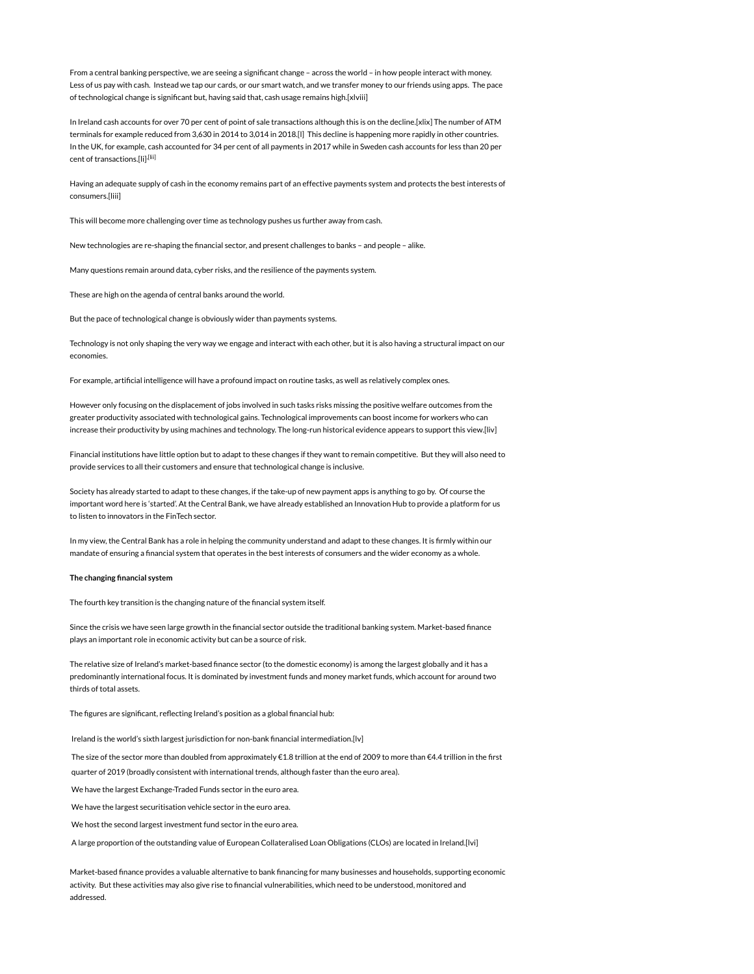From a central banking perspective, we are seeing a significant change – across the world – in how people interact with money. Less of us pay with cash. Instead we tap our cards, or our smart watch, and we transfer money to our friends using apps. The pace of technological change is significant but, having said that, cash usage remains high.[xlviii]

In Ireland cash accounts for over 70 per cent of point of sale transactions although this is on the decline.[xlix] The number of ATM terminals for example reduced from 3,630 in 2014 to 3,014 in 2018.[l] This decline is happening more rapidly in other countries. In the UK, for example, cash accounted for 34 per cent of all payments in 2017 while in Sweden cash accounts for less than 20 per cent of transactions.[Ii]<sup>,[Iii]</sup>

Having an adequate supply of cash in the economy remains part of an effective payments system and protects the best interests of consumers.[liii]

This will become more challenging over time as technology pushes us further away from cash.

New technologies are re-shaping the financial sector, and present challenges to banks – and people – alike.

Many questions remain around data, cyber risks, and the resilience of the payments system.

These are high on the agenda of central banks around the world.

But the pace of technological change is obviously wider than payments systems.

Technology is not only shaping the very way we engage and interact with each other, but it is also having a structural impact on our economies.

For example, artificial intelligence will have a profound impact on routine tasks, as well as relatively complex ones.

However only focusing on the displacement of jobs involved in such tasks risks missing the positive welfare outcomes from the greater productivity associated with technological gains. Technological improvements can boost income for workers who can increase their productivity by using machines and technology. The long-run historical evidence appears to support this view.[liv]

Financial institutions have little option but to adapt to these changes if they want to remain competitive. But they will also need to provide services to all their customers and ensure that technological change is inclusive.

Society has already started to adapt to these changes, if the take-up of new payment apps is anything to go by. Of course the important word here is 'started'. At the Central Bank, we have already established an Innovation Hub to provide a platform for us to listen to innovators in the FinTech sector.

In my view, the Central Bank has a role in helping the community understand and adapt to these changes. It is firmly within our mandate of ensuring a financial system that operates in the best interests of consumers and the wider economy as a whole.

#### The changing financial system

The fourth key transition is the changing nature of the financial system itself.

Since the crisis we have seen large growth in the financial sector outside the traditional banking system. Market-based finance plays an important role in economic activity but can be a source of risk.

The relative size of Ireland's market-based finance sector (to the domestic economy) is among the largest globally and it has a predominantly international focus. It is dominated by investment funds and money market funds, which account for around two thirds of total assets.

The figures are significant, reflecting Ireland's position as a global financial hub:

Ireland is the world's sixth largest jurisdiction for non-bank financial intermediation.[lv]

The size of the sector more than doubled from approximately €1.8 trillion at the end of 2009 to more than €4.4 trillion in the first quarter of 2019 (broadly consistent with international trends, although faster than the euro area).

We have the largest Exchange-Traded Funds sector in the euro area.

We have the largest securitisation vehicle sector in the euro area.

We host the second largest investment fund sector in the euro area.

A large proportion of the outstanding value of European Collateralised Loan Obligations (CLOs) are located in Ireland.[lvi]

Market-based finance provides a valuable alternative to bank financing for many businesses and households, supporting economic activity. But these activities may also give rise to financial vulnerabilities, which need to be understood, monitored and addressed.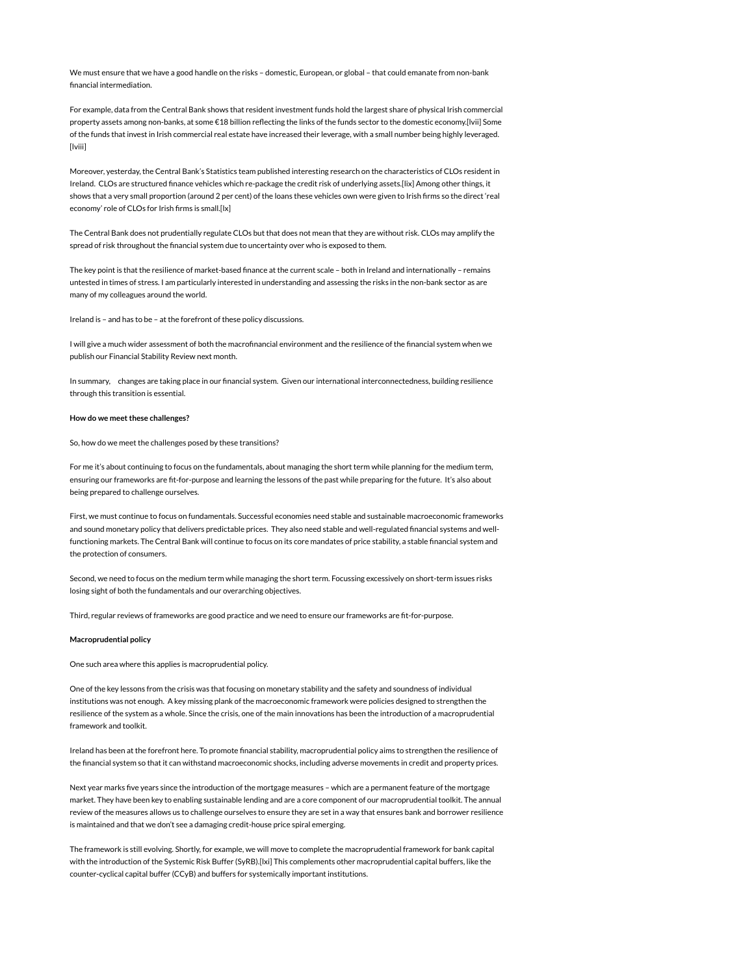We must ensure that we have a good handle on the risks – domestic, European, or global – that could emanate from non-bank financial intermediation.

For example, data from the Central Bank shows that resident investment funds hold the largest share of physical Irish commercial property assets among non-banks, at some €18 billion reflecting the links of the funds sector to the domestic economy.[lvii] Some of the funds that invest in Irish commercial real estate have increased their leverage, with a small number being highly leveraged. [lviii]

Moreover, yesterday, the Central Bank's Statistics team published interesting research on the characteristics of CLOs resident in Ireland. CLOs are structured finance vehicles which re-package the credit risk of underlying assets.[lix] Among other things, it shows that a very small proportion (around 2 per cent) of the loans these vehicles own were given to Irish firms so the direct 'real economy' role of CLOs for Irish firms is small.[lx]

The Central Bank does not prudentially regulate CLOs but that does not mean that they are without risk. CLOs may amplify the spread of risk throughout the financial system due to uncertainty over who is exposed to them.

The key point is that the resilience of market-based finance at the current scale – both in Ireland and internationally – remains untested in times of stress. I am particularly interested in understanding and assessing the risks in the non-bank sector as are many of my colleagues around the world.

Ireland is – and has to be – at the forefront of these policy discussions.

I will give a much wider assessment of both the macrofinancial environment and the resilience of the financial system when we publish our Financial Stability Review next month.

In summary, changes are taking place in our financial system. Given our international interconnectedness, building resilience through this transition is essential.

#### How do we meet these challenges?

So, how do we meet the challenges posed by these transitions?

For me it's about continuing to focus on the fundamentals, about managing the short term while planning for the medium term, ensuring our frameworks are fit-for-purpose and learning the lessons of the past while preparing for the future. It's also about being prepared to challenge ourselves.

First, we must continue to focus on fundamentals. Successful economies need stable and sustainable macroeconomic frameworks and sound monetary policy that delivers predictable prices. They also need stable and well-regulated financial systems and wellfunctioning markets. The Central Bank will continue to focus on its core mandates of price stability, a stable financial system and the protection of consumers.

Second, we need to focus on the medium term while managing the short term. Focussing excessively on short-term issues risks losing sight of both the fundamentals and our overarching objectives.

Third, regular reviews of frameworks are good practice and we need to ensure our frameworks are fit-for-purpose.

# Macroprudential policy

One such area where this applies is macroprudential policy.

One of the key lessons from the crisis was that focusing on monetary stability and the safety and soundness of individual institutions was not enough. A key missing plank of the macroeconomic framework were policies designed to strengthen the resilience of the system as a whole. Since the crisis, one of the main innovations has been the introduction of a macroprudential framework and toolkit.

Ireland has been at the forefront here. To promote financial stability, macroprudential policy aims to strengthen the resilience of the financial system so that it can withstand macroeconomic shocks, including adverse movements in credit and property prices.

Next year marks five years since the introduction of the mortgage measures – which are a permanent feature of the mortgage market. They have been key to enabling sustainable lending and are a core component of our macroprudential toolkit. The annual review of the measures allows us to challenge ourselves to ensure they are set in a way that ensures bank and borrower resilience is maintained and that we don't see a damaging credit-house price spiral emerging.

The framework is still evolving. Shortly, for example, we will move to complete the macroprudential framework for bank capital with the introduction of the Systemic Risk Buffer (SyRB).[lxi] This complements other macroprudential capital buffers, like the counter-cyclical capital buffer (CCyB) and buffers for systemically important institutions.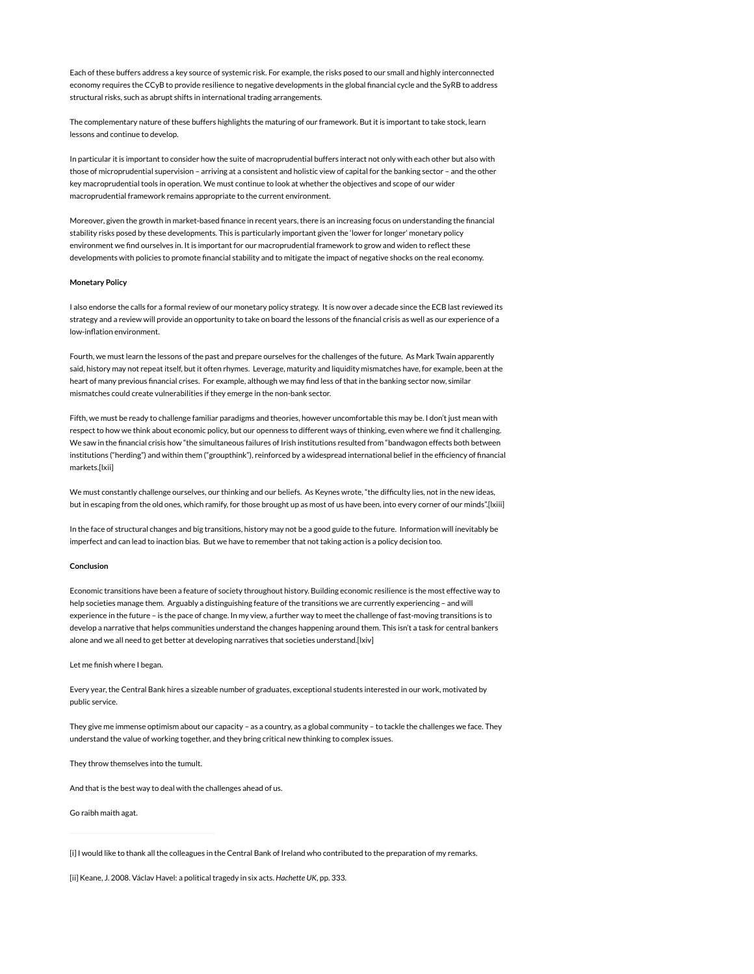Each of these buffers address a key source of systemic risk. For example, the risks posed to our small and highly interconnected economy requires the CCyB to provide resilience to negative developments in the global financial cycle and the SyRB to address structural risks, such as abrupt shifts in international trading arrangements.

The complementary nature of these buffers highlights the maturing of our framework. But it is important to take stock, learn lessons and continue to develop.

In particular it is important to consider how the suite of macroprudential buffers interact not only with each other but also with those of microprudential supervision – arriving at a consistent and holistic view of capital for the banking sector – and the other key macroprudential tools in operation. We must continue to look at whether the objectives and scope of our wider macroprudential framework remains appropriate to the current environment.

Moreover, given the growth in market-based finance in recent years, there is an increasing focus on understanding the financial stability risks posed by these developments. This is particularly important given the 'lower for longer' monetary policy environment we find ourselves in. It is important for our macroprudential framework to grow and widen to reflect these developments with policies to promote financial stability and to mitigate the impact of negative shocks on the real economy.

# Monetary Policy

I also endorse the calls for a formal review of our monetary policy strategy. It is now over a decade since the ECB last reviewed its strategy and a review will provide an opportunity to take on board the lessons of the financial crisis as well as our experience of a low-inflation environment.

Fourth, we must learn the lessons of the past and prepare ourselves for the challenges of the future. As Mark Twain apparently said, history may not repeat itself, but it often rhymes. Leverage, maturity and liquidity mismatches have, for example, been at the heart of many previous financial crises. For example, although we may find less of that in the banking sector now, similar mismatches could create vulnerabilities if they emerge in the non-bank sector.

Fifth, we must be ready to challenge familiar paradigms and theories, however uncomfortable this may be. I don't just mean with respect to how we think about economic policy, but our openness to different ways of thinking, even where we find it challenging. We saw in the financial crisis how "the simultaneous failures of Irish institutions resulted from "bandwagon effects both between institutions ("herding") and within them ("groupthink"), reinforced by a widespread international belief in the efficiency of financial markets.[lxii]

We must constantly challenge ourselves, our thinking and our beliefs. As Keynes wrote, "the difficulty lies, not in the new ideas, but in escaping from the old ones, which ramify, for those brought up as most of us have been, into every corner of our minds".[lxiii]

In the face of structural changes and big transitions, history may not be a good guide to the future. Information will inevitably be imperfect and can lead to inaction bias. But we have to remember that not taking action is a policy decision too.

# Conclusion

Economic transitions have been a feature of society throughout history. Building economic resilience is the most effective way to help societies manage them. Arguably a distinguishing feature of the transitions we are currently experiencing – and will experience in the future – is the pace of change. In my view, a further way to meet the challenge of fast-moving transitions is to develop a narrative that helps communities understand the changes happening around them. This isn't a task for central bankers alone and we all need to get better at developing narratives that societies understand.[lxiv]

Let me finish where I began.

Every year, the Central Bank hires a sizeable number of graduates, exceptional students interested in our work, motivated by public service.

They give me immense optimism about our capacity – as a country, as a global community – to tackle the challenges we face. They understand the value of working together, and they bring critical new thinking to complex issues.

They throw themselves into the tumult.

And that is the best way to deal with the challenges ahead of us.

Go raibh maith agat.

[i] I would like to thank all the colleagues in the Central Bank of Ireland who contributed to the preparation of my remarks.

[ii] Keane, J. 2008. Václav Havel: a political tragedy in six acts. Hachette UK, pp. 333.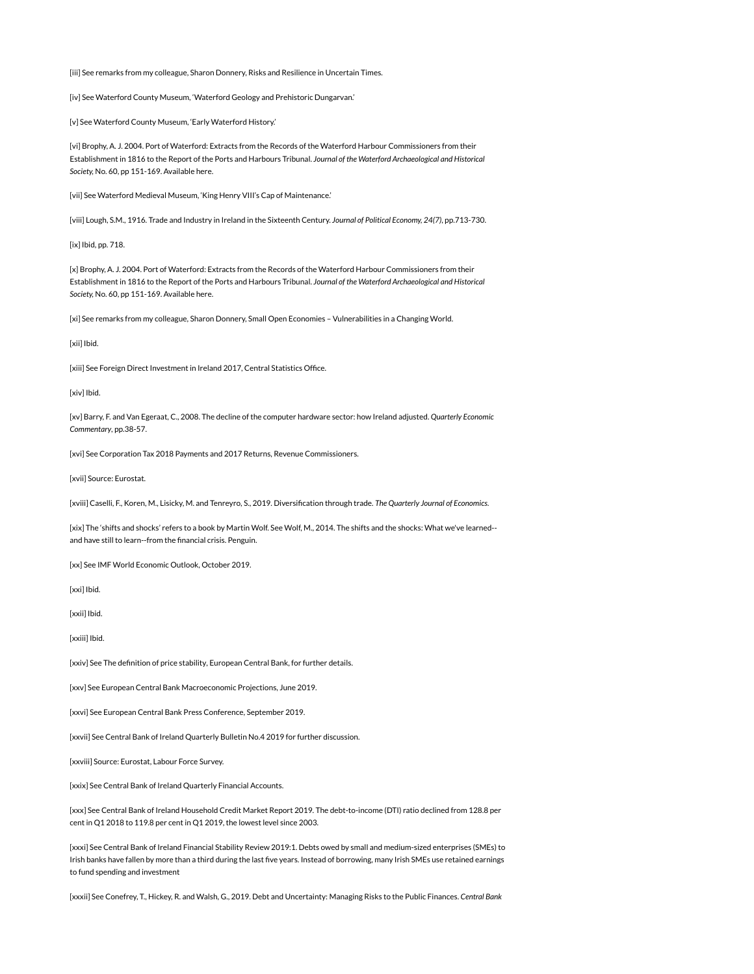[iii] See remarks from my colleague, Sharon Donnery, Risks and Resilience in Uncertain Times.

[iv] See Waterford County Museum, 'Waterford Geology and Prehistoric Dungarvan.'

[v] See Waterford County Museum, 'Early Waterford History.'

[vi] Brophy, A. J. 2004. Port of Waterford: Extracts from the Records of the Waterford Harbour Commissioners from their Establishment in 1816 to the Report of the Ports and Harbours Tribunal. Journal of the Waterford Archaeological and Historical Society, No. 60, pp 151-169. Available here.

[vii] See Waterford Medieval Museum, 'King Henry VIII's Cap of Maintenance.'

[viii] Lough, S.M., 1916. Trade and Industry in Ireland in the Sixteenth Century. Journal of Political Economy, 24(7), pp.713-730.

[ix] Ibid, pp. 718.

[x] Brophy, A. J. 2004. Port of Waterford: Extracts from the Records of the Waterford Harbour Commissioners from their Establishment in 1816 to the Report of the Ports and Harbours Tribunal. Journal of the Waterford Archaeological and Historical Society, No. 60, pp 151-169. Available here.

[xi] See remarks from my colleague, Sharon Donnery, Small Open Economies – Vulnerabilities in a Changing World.

[xii] Ibid.

[xiii] See Foreign Direct Investment in Ireland 2017, Central Statistics Office.

[xiv] Ibid.

[xv] Barry, F. and Van Egeraat, C., 2008. The decline of the computer hardware sector: how Ireland adjusted. Quarterly Economic Commentary, pp.38-57.

[xvi] See Corporation Tax 2018 Payments and 2017 Returns, Revenue Commissioners.

[xvii] Source: Eurostat.

[xviii] Caselli, F., Koren, M., Lisicky, M. and Tenreyro, S., 2019. Diversification through trade. The Quarterly Journal of Economics.

[xix] The 'shifts and shocks' refers to a book by Martin Wolf. See Wolf, M., 2014. The shifts and the shocks: What we've learned- and have still to learn--from the financial crisis. Penguin. Eurostat.<br>F., Koren, M., Lisicky, M. an<br>fts and shocks' refers to a b<br>to learn--from the financia<br>World Economic Outlook,

[xx] See IMF World Economic Outlook, October 2019.

[xxi] Ibid.

[xxii] Ibid.

[xxiii] Ibid.

[xxiv] See The definition of price stability, European Central Bank, for further details.

[xxv] See European Central Bank Macroeconomic Projections, June 2019.

[xxvi] See European Central Bank Press Conference, September 2019.

[xxvii] See Central Bank of Ireland Quarterly Bulletin No.4 2019 for further discussion.

[xxviii] Source: Eurostat, Labour Force Survey.

[xxix] See Central Bank of Ireland Quarterly Financial Accounts.

[xxx] See Central Bank of Ireland Household Credit Market Report 2019. The debt-to-income (DTI) ratio declined from 128.8 per cent in Q1 2018 to 119.8 per cent in Q1 2019, the lowest level since 2003.

[xxxi] See Central Bank of Ireland Financial Stability Review 2019:1. Debts owed by small and medium-sized enterprises (SMEs) to Irish banks have fallen by more than a third during the last five years. Instead of borrowing, many Irish SMEs use retained earnings to fund spending and investment

[xxxii] See Conefrey, T., Hickey, R. and Walsh, G., 2019. Debt and Uncertainty: Managing Risks to the Public Finances. Central Bank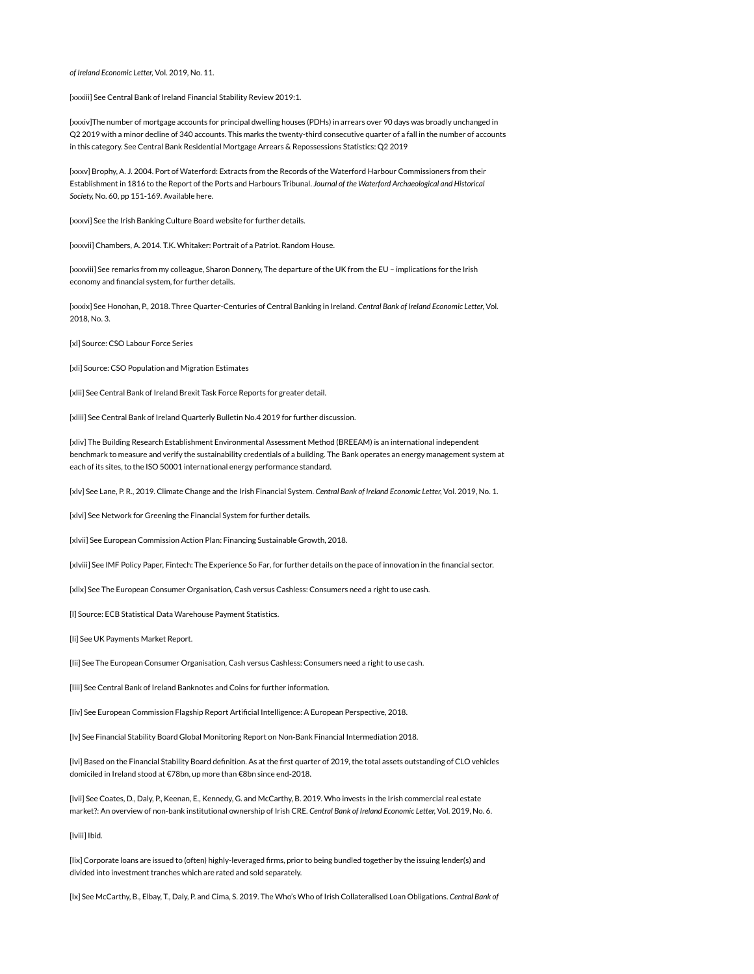of Ireland Economic Letter, Vol. 2019, No. 11.

[xxxiii] See Central Bank of Ireland Financial Stability Review 2019:1.

[xxxiv]The number of mortgage accounts for principal dwelling houses (PDHs) in arrears over 90 days was broadly unchanged in Q2 2019 with a minor decline of 340 accounts. This marks the twenty-third consecutive quarter of a fall in the number of accounts in this category. See Central Bank Residential Mortgage Arrears & Repossessions Statistics: Q2 2019

[xxxv] Brophy, A. J. 2004. Port of Waterford: Extracts from the Records of the Waterford Harbour Commissioners from their Establishment in 1816 to the Report of the Ports and Harbours Tribunal. Journal of the Waterford Archaeological and Historical Society, No. 60, pp 151-169. Available here.

[xxxvi] See the Irish Banking Culture Board website for further details.

[xxxvii] Chambers, A. 2014. T.K. Whitaker: Portrait of a Patriot. Random House.

[xxxviii] See remarks from my colleague, Sharon Donnery, The departure of the UK from the EU – implications for the Irish economy and financial system, for further details.

[xxxix] See Honohan, P., 2018. Three Quarter-Centuries of Central Banking in Ireland. Central Bank of Ireland Economic Letter, Vol. 2018, No. 3.

[xl] Source: CSO Labour Force Series

[xli] Source: CSO Population and Migration Estimates

[xlii] See Central Bank of Ireland Brexit Task Force Reports for greater detail.

[xliii] See Central Bank of Ireland Quarterly Bulletin No.4 2019 for further discussion.

[xliv] The Building Research Establishment Environmental Assessment Method (BREEAM) is an international independent benchmark to measure and verify the sustainability credentials of a building. The Bank operates an energy management system at each of its sites, to the ISO 50001 international energy performance standard.

[xlv] See Lane, P. R., 2019. Climate Change and the Irish Financial System. Central Bank of Ireland Economic Letter, Vol. 2019, No. 1.

[xlvi] See Network for Greening the Financial System for further details.

[xlvii] See European Commission Action Plan: Financing Sustainable Growth, 2018.

[xlviii] See IMF Policy Paper, Fintech: The Experience So Far, for further details on the pace of innovation in the financial sector.

[xlix] See The European Consumer Organisation, Cash versus Cashless: Consumers need a right to use cash.

[l] Source: ECB Statistical Data Warehouse Payment Statistics.<br>[li] See UK Payments Market Report.

[Ii] See UK Payments Market Report.

[lii] See The European Consumer Organisation, Cash versus Cashless: Consumers need a right to use cash.

[liii] See Central Bank of Ireland Banknotes and Coins for further information.

[liv] See European Commission Flagship Report Artificial Intelligence: A European Perspective, 2018.

[Iv] See Financial Stability Board Global Monitoring Report on Non-Bank Financial Intermediation 2018. [

[lvi] Based on the Financial Stability Board definition. As at the first quarter of 2019, the total assets outstanding of CLO vehicles domiciled in Ireland stood at €78bn, up more than €8bn since end-2018.

[lvii] See Coates, D., Daly, P., Keenan, E., Kennedy, G. and McCarthy, B. 2019. Who invests in the Irish commercial real estate market?: An overview of non-bank institutional ownership of Irish CRE. Central Bank of Ireland Economic Letter, Vol. 2019, No. 6.

[lviii] Ibid.

[lix] Corporate loans are issued to (often) highly-leveraged firms, prior to being bundled together by the issuing lender(s) and divided into investment tranches which are rated and sold separately.

[lx] See McCarthy, B., Elbay, T., Daly, P. and Cima, S. 2019. The Who's Who of Irish Collateralised Loan Obligations. Central Bank of